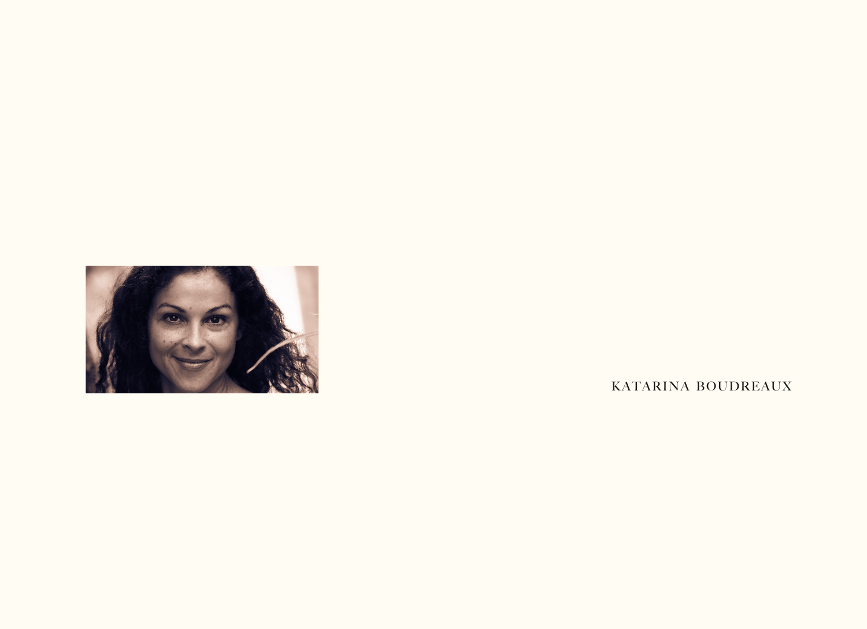

KATARINA BOUDREAUX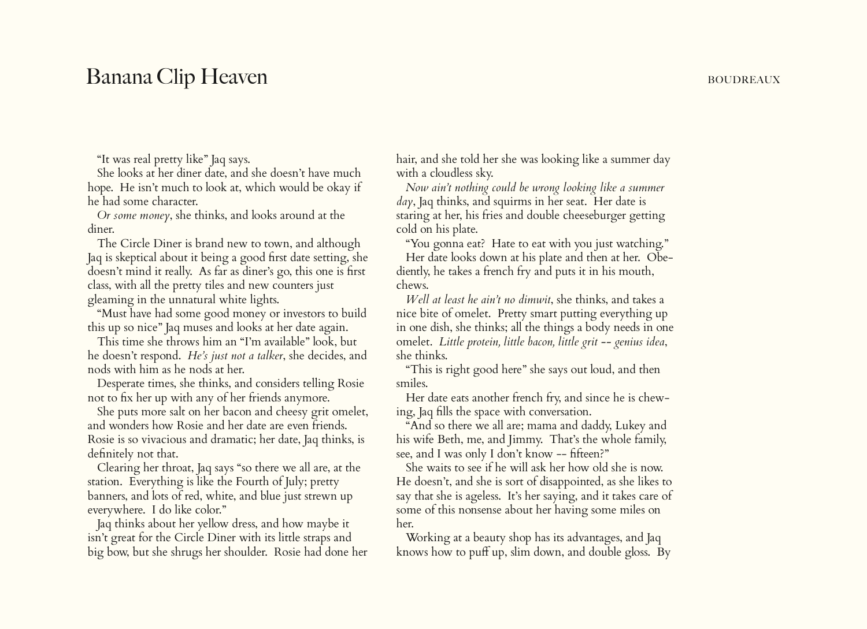## Banana Clip Heaven Boundary Boundary Boundary Boundary Boundary Boundary Boundary

"It was real pretty like" Jaq says.

 She looks at her diner date, and she doesn't have much hope. He isn't much to look at, which would be okay if he had some character.

 *Or some money*, she thinks, and looks around at the diner.

 The Circle Diner is brand new to town, and although Jaq is skeptical about it being a good first date setting, she doesn't mind it really. As far as diner's go, this one is first class, with all the pretty tiles and new counters just gleaming in the unnatural white lights.

 "Must have had some good money or investors to build this up so nice" Jaq muses and looks at her date again.

 This time she throws him an "I'm available" look, but he doesn't respond. *He's just not a talker*, she decides, and nods with him as he nods at her.

 Desperate times, she thinks, and considers telling Rosie not to fix her up with any of her friends anymore.

 She puts more salt on her bacon and cheesy grit omelet, and wonders how Rosie and her date are even friends. Rosie is so vivacious and dramatic; her date, Jaq thinks, is definitely not that.

 Clearing her throat, Jaq says "so there we all are, at the station. Everything is like the Fourth of July; pretty banners, and lots of red, white, and blue just strewn up everywhere. I do like color."

 Jaq thinks about her yellow dress, and how maybe it isn't great for the Circle Diner with its little straps and big bow, but she shrugs her shoulder. Rosie had done her hair, and she told her she was looking like a summer day with a cloudless sky.

 *Now ain't nothing could be wrong looking like a summer day*, Jaq thinks, and squirms in her seat. Her date is staring at her, his fries and double cheeseburger getting cold on his plate.

 "You gonna eat? Hate to eat with you just watching." Her date looks down at his plate and then at her. Obediently, he takes a french fry and puts it in his mouth, chews.

 *Well at least he ain't no dimwit*, she thinks, and takes a nice bite of omelet. Pretty smart putting everything up in one dish, she thinks; all the things a body needs in one omelet. *Little protein, little bacon, little grit -- genius idea*, she thinks.

 "This is right good here" she says out loud, and then smiles.

 Her date eats another french fry, and since he is chewing, Jaq fills the space with conversation.

 "And so there we all are; mama and daddy, Lukey and his wife Beth, me, and Jimmy. That's the whole family, see, and I was only I don't know -- fifteen?"

 She waits to see if he will ask her how old she is now. He doesn't, and she is sort of disappointed, as she likes to say that she is ageless. It's her saying, and it takes care of some of this nonsense about her having some miles on her.

 Working at a beauty shop has its advantages, and Jaq knows how to puff up, slim down, and double gloss. By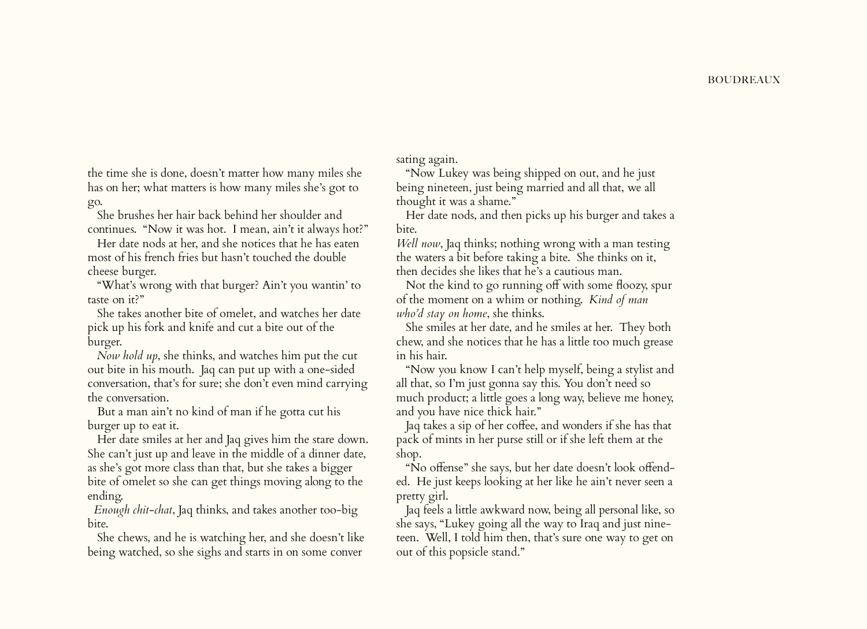the time she is done, doesn't matter how many miles she has on her; what matters is how many miles she's got to go.

 She brushes her hair back behind her shoulder and continues. "Now it was hot. I mean, ain't it always hot?"

 Her date nods at her, and she notices that he has eaten most of his french fries but hasn't touched the double cheese burger.

 "What's wrong with that burger? Ain't you wantin' to taste on it?"

 She takes another bite of omelet, and watches her date pick up his fork and knife and cut a bite out of the burger.

 *Now hold up*, she thinks, and watches him put the cut out bite in his mouth. Jaq can put up with a one-sided conversation, that's for sure; she don't even mind carrying the conversation.

 But a man ain't no kind of man if he gotta cut his burger up to eat it.

 Her date smiles at her and Jaq gives him the stare down. She can't just up and leave in the middle of a dinner date, as she's got more class than that, but she takes a bigger bite of omelet so she can get things moving along to the ending.

 *Enough chit-chat*, Jaq thinks, and takes another too-big bite.

 She chews, and he is watching her, and she doesn't like being watched, so she sighs and starts in on some conver

sating again.

 "Now Lukey was being shipped on out, and he just being nineteen, just being married and all that, we all thought it was a shame."

 Her date nods, and then picks up his burger and takes a bite.

*Well now*, Jaq thinks; nothing wrong with a man testing the waters a bit before taking a bite. She thinks on it, then decides she likes that he's a cautious man.

 Not the kind to go running off with some floozy, spur of the moment on a whim or nothing. *Kind of man who'd stay on home*, she thinks.

 She smiles at her date, and he smiles at her. They both chew, and she notices that he has a little too much grease in his hair.

 "Now you know I can't help myself, being a stylist and all that, so I'm just gonna say this. You don't need so much product; a little goes a long way, believe me honey, and you have nice thick hair."

 Jaq takes a sip of her coffee, and wonders if she has that pack of mints in her purse still or if she left them at the shop.

 "No offense" she says, but her date doesn't look offended. He just keeps looking at her like he ain't never seen a pretty girl.

 Jaq feels a little awkward now, being all personal like, so she says, "Lukey going all the way to Iraq and just nineteen. Well, I told him then, that's sure one way to get on out of this popsicle stand."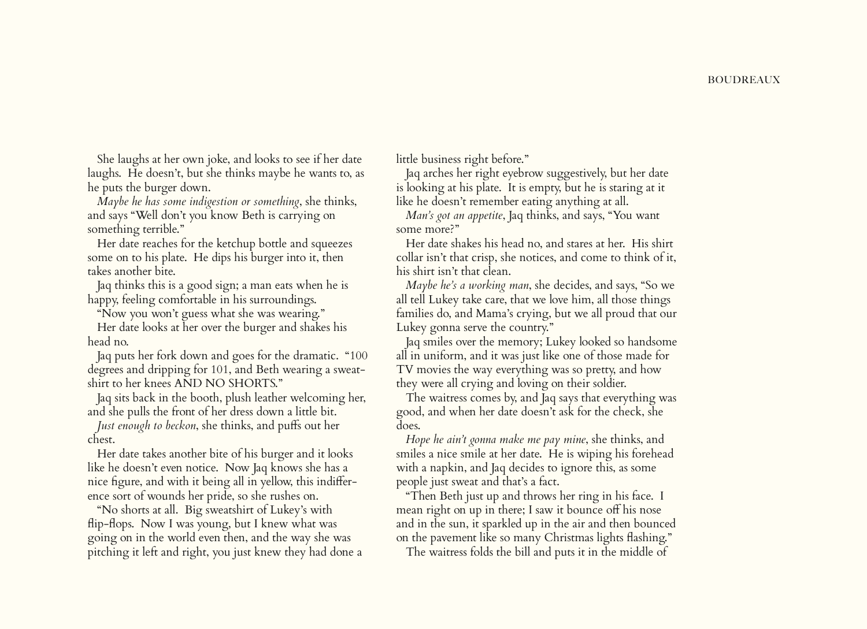She laughs at her own joke, and looks to see if her date laughs. He doesn't, but she thinks maybe he wants to, as he puts the burger down.

 *Maybe he has some indigestion or something*, she thinks, and says "Well don't you know Beth is carrying on something terrible."

 Her date reaches for the ketchup bottle and squeezes some on to his plate. He dips his burger into it, then takes another bite.

 Jaq thinks this is a good sign; a man eats when he is happy, feeling comfortable in his surroundings.

"Now you won't guess what she was wearing."

 Her date looks at her over the burger and shakes his head no.

 Jaq puts her fork down and goes for the dramatic. "100 degrees and dripping for 101, and Beth wearing a sweatshirt to her knees AND NO SHORTS."

 Jaq sits back in the booth, plush leather welcoming her, and she pulls the front of her dress down a little bit.

 *Just enough to beckon*, she thinks, and puffs out her chest.

 Her date takes another bite of his burger and it looks like he doesn't even notice. Now Jaq knows she has a nice figure, and with it being all in yellow, this indifference sort of wounds her pride, so she rushes on.

 "No shorts at all. Big sweatshirt of Lukey's with flip-flops. Now I was young, but I knew what was going on in the world even then, and the way she was pitching it left and right, you just knew they had done a little business right before."

 Jaq arches her right eyebrow suggestively, but her date is looking at his plate. It is empty, but he is staring at it like he doesn't remember eating anything at all.

 *Man's got an appetite*, Jaq thinks, and says, "You want some more?"

 Her date shakes his head no, and stares at her. His shirt collar isn't that crisp, she notices, and come to think of it, his shirt isn't that clean.

 *Maybe he's a working man*, she decides, and says, "So we all tell Lukey take care, that we love him, all those things families do, and Mama's crying, but we all proud that our Lukey gonna serve the country."

 Jaq smiles over the memory; Lukey looked so handsome all in uniform, and it was just like one of those made for TV movies the way everything was so pretty, and how they were all crying and loving on their soldier.

 The waitress comes by, and Jaq says that everything was good, and when her date doesn't ask for the check, she does.

 *Hope he ain't gonna make me pay mine*, she thinks, and smiles a nice smile at her date. He is wiping his forehead with a napkin, and Jaq decides to ignore this, as some people just sweat and that's a fact.

 "Then Beth just up and throws her ring in his face. I mean right on up in there; I saw it bounce off his nose and in the sun, it sparkled up in the air and then bounced on the pavement like so many Christmas lights flashing."

The waitress folds the bill and puts it in the middle of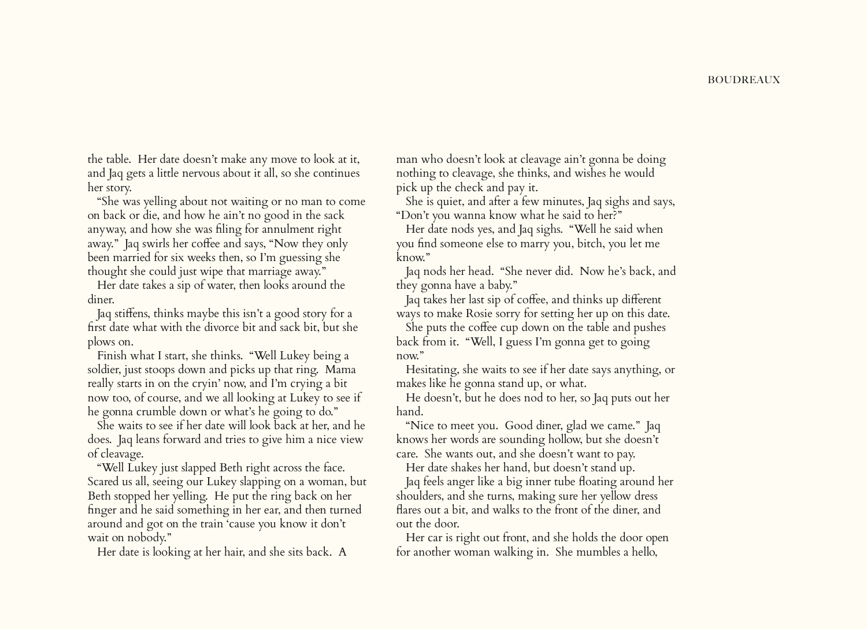the table. Her date doesn't make any move to look at it, and Jaq gets a little nervous about it all, so she continues her story.

 "She was yelling about not waiting or no man to come on back or die, and how he ain't no good in the sack anyway, and how she was filing for annulment right away." Jaq swirls her coffee and says, "Now they only been married for six weeks then, so I'm guessing she thought she could just wipe that marriage away."

 Her date takes a sip of water, then looks around the diner.

 Jaq stiffens, thinks maybe this isn't a good story for a first date what with the divorce bit and sack bit, but she plows on.

 Finish what I start, she thinks. "Well Lukey being a soldier, just stoops down and picks up that ring. Mama really starts in on the cryin' now, and I'm crying a bit now too, of course, and we all looking at Lukey to see if he gonna crumble down or what's he going to do."

 She waits to see if her date will look back at her, and he does. Jaq leans forward and tries to give him a nice view of cleavage.

 "Well Lukey just slapped Beth right across the face. Scared us all, seeing our Lukey slapping on a woman, but Beth stopped her yelling. He put the ring back on her finger and he said something in her ear, and then turned around and got on the train 'cause you know it don't wait on nobody."

Her date is looking at her hair, and she sits back. A

man who doesn't look at cleavage ain't gonna be doing nothing to cleavage, she thinks, and wishes he would pick up the check and pay it.

 She is quiet, and after a few minutes, Jaq sighs and says, "Don't you wanna know what he said to her?"

 Her date nods yes, and Jaq sighs. "Well he said when you find someone else to marry you, bitch, you let me know."

 Jaq nods her head. "She never did. Now he's back, and they gonna have a baby."

 Jaq takes her last sip of coffee, and thinks up different ways to make Rosie sorry for setting her up on this date.

 She puts the coffee cup down on the table and pushes back from it. "Well, I guess I'm gonna get to going now."

 Hesitating, she waits to see if her date says anything, or makes like he gonna stand up, or what.

 He doesn't, but he does nod to her, so Jaq puts out her hand.

 "Nice to meet you. Good diner, glad we came." Jaq knows her words are sounding hollow, but she doesn't care. She wants out, and she doesn't want to pay.

Her date shakes her hand, but doesn't stand up.

 Jaq feels anger like a big inner tube floating around her shoulders, and she turns, making sure her yellow dress flares out a bit, and walks to the front of the diner, and out the door.

 Her car is right out front, and she holds the door open for another woman walking in. She mumbles a hello,